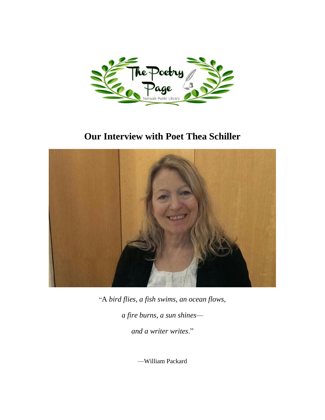

# **Our Interview with Poet Thea Schiller**



"A *bird flies, a fish swims*, *an ocean flows,*

*a fire burns, a sun shines—*

*and a writer writes*."

—William Packard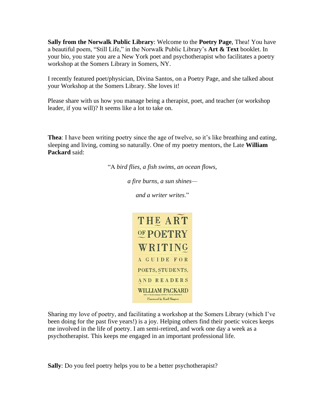**Sally from the Norwalk Public Library**: Welcome to the **Poetry Page**, Thea! You have a beautiful poem, "Still Life," in the Norwalk Public Library's **Art & Text** booklet. In your bio, you state you are a New York poet and psychotherapist who facilitates a poetry workshop at the Somers Library in Somers, NY.

I recently featured poet/physician, Divina Santos, on a Poetry Page, and she talked about your Workshop at the Somers Library. She loves it!

Please share with us how you manage being a therapist, poet, and teacher (or workshop leader, if you will)? It seems like a lot to take on.

**Thea**: I have been writing poetry since the age of twelve, so it's like breathing and eating, sleeping and living, coming so naturally. One of my poetry mentors, the Late **William Packard** said:

"A *bird flies, a fish swims*, *an ocean flows,*

*a fire burns, a sun shines—*

*and a writer writes*."



Sharing my love of poetry, and facilitating a workshop at the Somers Library (which I've been doing for the past five years!) is a joy. Helping others find their poetic voices keeps me involved in the life of poetry. I am semi-retired, and work one day a week as a psychotherapist. This keeps me engaged in an important professional life.

**Sally**: Do you feel poetry helps you to be a better psychotherapist?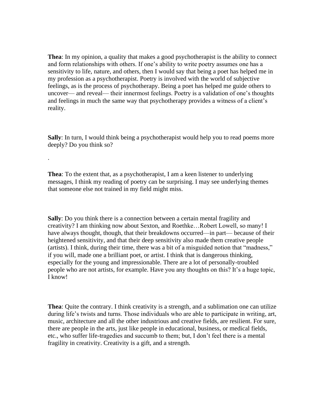**Thea**: In my opinion, a quality that makes a good psychotherapist is the ability to connect and form relationships with others. If one's ability to write poetry assumes one has a sensitivity to life, nature, and others, then I would say that being a poet has helped me in my profession as a psychotherapist. Poetry is involved with the world of subjective feelings, as is the process of psychotherapy. Being a poet has helped me guide others to uncover— and reveal— their innermost feelings. Poetry is a validation of one's thoughts and feelings in much the same way that psychotherapy provides a witness of a client's reality.

**Sally**: In turn, I would think being a psychotherapist would help you to read poems more deeply? Do you think so?

**Thea**: To the extent that, as a psychotherapist, I am a keen listener to underlying messages, I think my reading of poetry can be surprising. I may see underlying themes that someone else not trained in my field might miss.

·

**Sally**: Do you think there is a connection between a certain mental fragility and creativity? I am thinking now about Sexton, and Roethke…Robert Lowell, so many! I have always thought, though, that their breakdowns occurred—in part— because of their heightened sensitivity, and that their deep sensitivity also made them creative people (artists). I think, during their time, there was a bit of a misguided notion that "madness," if you will, made one a brilliant poet, or artist. I think that is dangerous thinking, especially for the young and impressionable. There are a lot of personally-troubled people who are not artists, for example. Have you any thoughts on this? It's a huge topic, I know!

**Thea**: Quite the contrary. I think creativity is a strength, and a sublimation one can utilize during life's twists and turns. Those individuals who are able to participate in writing, art, music, architecture and all the other industrious and creative fields, are resilient. For sure, there are people in the arts, just like people in educational, business, or medical fields, etc., who suffer life-tragedies and succumb to them; but, I don't feel there is a mental fragility in creativity. Creativity is a gift, and a strength.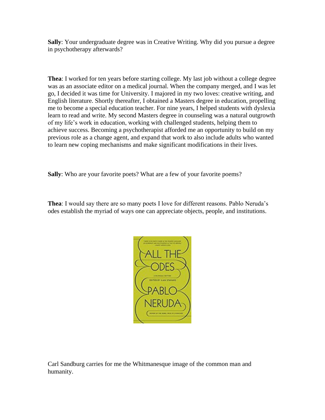**Sally**: Your undergraduate degree was in Creative Writing. Why did you pursue a degree in psychotherapy afterwards?

**Thea**: I worked for ten years before starting college. My last job without a college degree was as an associate editor on a medical journal. When the company merged, and I was let go, I decided it was time for University. I majored in my two loves: creative writing, and English literature. Shortly thereafter, I obtained a Masters degree in education, propelling me to become a special education teacher. For nine years, I helped students with dyslexia learn to read and write. My second Masters degree in counseling was a natural outgrowth of my life's work in education, working with challenged students, helping them to achieve success. Becoming a psychotherapist afforded me an opportunity to build on my previous role as a change agent, and expand that work to also include adults who wanted to learn new coping mechanisms and make significant modifications in their lives.

**Sally**: Who are your favorite poets? What are a few of your favorite poems?

**Thea**: I would say there are so many poets I love for different reasons. Pablo Neruda's odes establish the myriad of ways one can appreciate objects, people, and institutions.



Carl Sandburg carries for me the Whitmanesque image of the common man and humanity.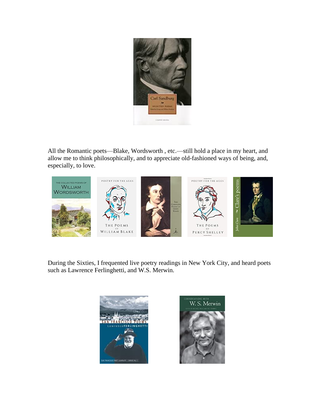

All the Romantic poets—Blake, Wordsworth , etc.—still hold a place in my heart, and allow me to think philosophically, and to appreciate old-fashioned ways of being, and, especially, to love.



During the Sixties, I frequented live poetry readings in New York City, and heard poets such as Lawrence Ferlinghetti, and W.S. Merwin.



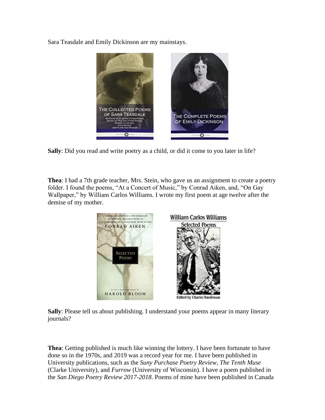Sara Teasdale and Emily Dickinson are my mainstays.



**Sally**: Did you read and write poetry as a child, or did it come to you later in life?

**Thea**: I had a 7th grade teacher, Mrs. Stein, who gave us an assignment to create a poetry folder. I found the poems, "At a Concert of Music," by Conrad Aiken, and, "On Gay Wallpaper," by William Carlos Williams. I wrote my first poem at age twelve after the demise of my mother.



**Sally**: Please tell us about publishing. I understand your poems appear in many literary journals?

**Thea**: Getting published is much like winning the lottery. I have been fortunate to have done so in the 1970s, and 2019 was a record year for me. I have been published in University publications, such as the *Suny Purchase Poetry Review*, *The Tenth Muse* (Clarke University), and *Furrow* (University of Wisconsin). I have a poem published in the *San Diego Poetry Review 2017-2018*. Poems of mine have been published in Canada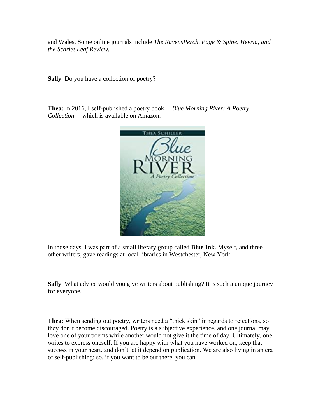and Wales. Some online journals include *The RavensPerch, Page & Spine, Hevria, and the Scarlet Leaf Review.* 

**Sally**: Do you have a collection of poetry?

**Thea**: In 2016, I self-published a poetry book— *Blue Morning River: A Poetry Collection*— which is available on Amazon.



In those days, I was part of a small literary group called **Blue Ink**. Myself, and three other writers, gave readings at local libraries in Westchester, New York.

**Sally**: What advice would you give writers about publishing? It is such a unique journey for everyone.

**Thea**: When sending out poetry, writers need a "thick skin" in regards to rejections, so they don't become discouraged. Poetry is a subjective experience, and one journal may love one of your poems while another would not give it the time of day. Ultimately, one writes to express oneself. If you are happy with what you have worked on, keep that success in your heart, and don't let it depend on publication. We are also living in an era of self-publishing; so, if you want to be out there, you can.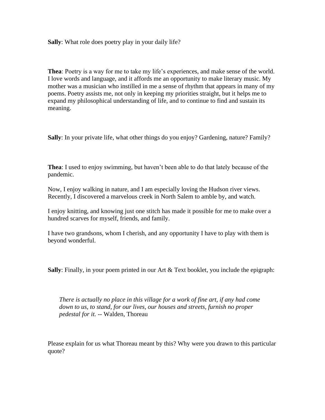**Sally**: What role does poetry play in your daily life?

**Thea**: Poetry is a way for me to take my life's experiences, and make sense of the world. I love words and language, and it affords me an opportunity to make literary music. My mother was a musician who instilled in me a sense of rhythm that appears in many of my poems. Poetry assists me, not only in keeping my priorities straight, but it helps me to expand my philosophical understanding of life, and to continue to find and sustain its meaning.

**Sally**: In your private life, what other things do you enjoy? Gardening, nature? Family?

**Thea**: I used to enjoy swimming, but haven't been able to do that lately because of the pandemic.

Now, I enjoy walking in nature, and I am especially loving the Hudson river views. Recently, I discovered a marvelous creek in North Salem to amble by, and watch.

I enjoy knitting, and knowing just one stitch has made it possible for me to make over a hundred scarves for myself, friends, and family.

I have two grandsons, whom I cherish, and any opportunity I have to play with them is beyond wonderful.

**Sally**: Finally, in your poem printed in our Art & Text booklet, you include the epigraph:

*There is actually no place in this village for a work of fine art, if any had come down to us, to stand, for our lives, our houses and streets, furnish no proper pedestal for it. --* Walden, Thoreau

Please explain for us what Thoreau meant by this? Why were you drawn to this particular quote?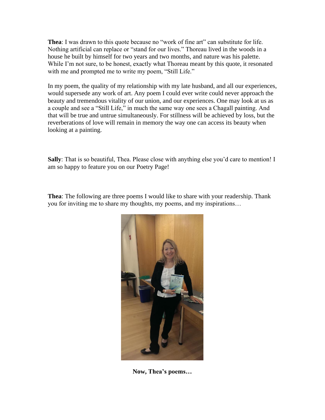**Thea**: I was drawn to this quote because no "work of fine art" can substitute for life. Nothing artificial can replace or "stand for our lives." Thoreau lived in the woods in a house he built by himself for two years and two months, and nature was his palette. While I'm not sure, to be honest, exactly what Thoreau meant by this quote, it resonated with me and prompted me to write my poem, "Still Life."

In my poem, the quality of my relationship with my late husband, and all our experiences, would supersede any work of art. Any poem I could ever write could never approach the beauty and tremendous vitality of our union, and our experiences. One may look at us as a couple and see a "Still Life," in much the same way one sees a Chagall painting. And that will be true and untrue simultaneously. For stillness will be achieved by loss, but the reverberations of love will remain in memory the way one can access its beauty when looking at a painting.

**Sally**: That is so beautiful, Thea. Please close with anything else you'd care to mention! I am so happy to feature you on our Poetry Page!

**Thea**: The following are three poems I would like to share with your readership. Thank you for inviting me to share my thoughts, my poems, and my inspirations…



**Now, Thea's poems…**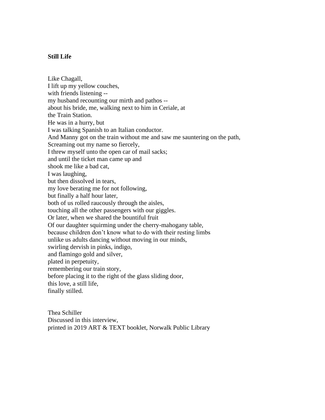### **Still Life**

Like Chagall, I lift up my yellow couches, with friends listening - my husband recounting our mirth and pathos - about his bride, me, walking next to him in Ceriale, at the Train Station. He was in a hurry, but I was talking Spanish to an Italian conductor. And Manny got on the train without me and saw me sauntering on the path, Screaming out my name so fiercely, I threw myself unto the open car of mail sacks; and until the ticket man came up and shook me like a bad cat, I was laughing, but then dissolved in tears, my love berating me for not following, but finally a half hour later, both of us rolled raucously through the aisles, touching all the other passengers with our giggles. Or later, when we shared the bountiful fruit Of our daughter squirming under the cherry-mahogany table, because children don't know what to do with their resting limbs unlike us adults dancing without moving in our minds, swirling dervish in pinks, indigo, and flamingo gold and silver, plated in perpetuity, remembering our train story, before placing it to the right of the glass sliding door, this love, a still life, finally stilled.

Thea Schiller Discussed in this interview, printed in 2019 ART & TEXT booklet, Norwalk Public Library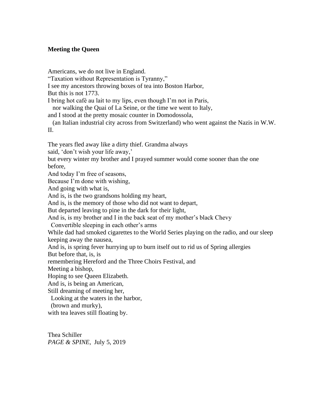## **Meeting the Queen**

Americans, we do not live in England.

"Taxation without Representation is Tyranny,"

I see my ancestors throwing boxes of tea into Boston Harbor,

But this is not 1773.

I bring hot café au lait to my lips, even though I'm not in Paris,

nor walking the Quai of La Seine, or the time we went to Italy,

and I stood at the pretty mosaic counter in Domodossola,

 (an Italian industrial city across from Switzerland) who went against the Nazis in W.W. II.

The years fled away like a dirty thief. Grandma always

said, 'don't wish your life away,'

but every winter my brother and I prayed summer would come sooner than the one before,

And today I'm free of seasons,

Because I'm done with wishing,

And going with what is,

And is, is the two grandsons holding my heart,

And is, is the memory of those who did not want to depart,

But departed leaving to pine in the dark for their light,

And is, is my brother and I in the back seat of my mother's black Chevy

Convertible sleeping in each other's arms

While dad had smoked cigarettes to the World Series playing on the radio, and our sleep keeping away the nausea,

And is, is spring fever hurrying up to burn itself out to rid us of Spring allergies

But before that, is, is

remembering Hereford and the Three Choirs Festival, and

Meeting a bishop,

Hoping to see Queen Elizabeth.

And is, is being an American,

Still dreaming of meeting her,

Looking at the waters in the harbor,

(brown and murky),

with tea leaves still floating by.

Thea Schiller *PAGE & SPINE,* July 5, 2019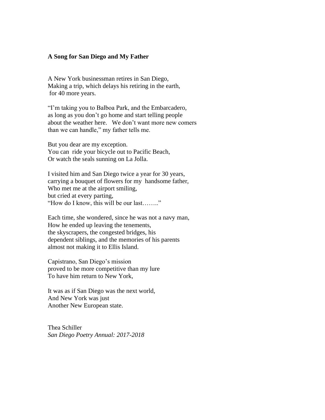#### **A Song for San Diego and My Father**

A New York businessman retires in San Diego, Making a trip, which delays his retiring in the earth, for 40 more years.

"I'm taking you to Balboa Park, and the Embarcadero, as long as you don't go home and start telling people about the weather here. We don't want more new comers than we can handle," my father tells me.

But you dear are my exception. You can ride your bicycle out to Pacific Beach, Or watch the seals sunning on La Jolla.

I visited him and San Diego twice a year for 30 years, carrying a bouquet of flowers for my handsome father, Who met me at the airport smiling, but cried at every parting, "How do I know, this will be our last…….."

Each time, she wondered, since he was not a navy man, How he ended up leaving the tenements, the skyscrapers, the congested bridges, his dependent siblings, and the memories of his parents almost not making it to Ellis Island.

Capistrano, San Diego's mission proved to be more competitive than my lure To have him return to New York,

It was as if San Diego was the next world, And New York was just Another New European state.

Thea Schiller *San Diego Poetry Annual: 2017-2018*